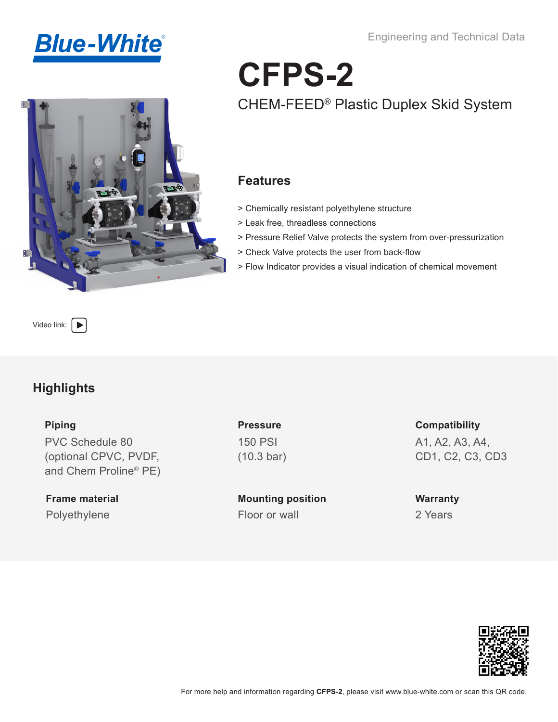



Engineering and Technical Data

# CHEM-FEED® Plastic Duplex Skid System **CFPS-2**

### **Features**

- > Chemically resistant polyethylene structure
- > Leak free, threadless connections
- > Pressure Relief Valve protects the system from over-pressurization
- > Check Valve protects the user from back-flow
- > Flow Indicator provides a visual indication of chemical movement

Video link:  $\Box$ 

## **Highlights**

#### **Piping**

PVC Schedule 80 (optional CPVC, PVDF, and Chem Proline® PE)

**Frame material** Polyethylene Floor or wall

**Pressure** 150 PSI (10.3 bar)

**Mounting position**

**Compatibility** A1, A2, A3, A4, CD1, C2, C3, CD3

**Warranty** 2 Years

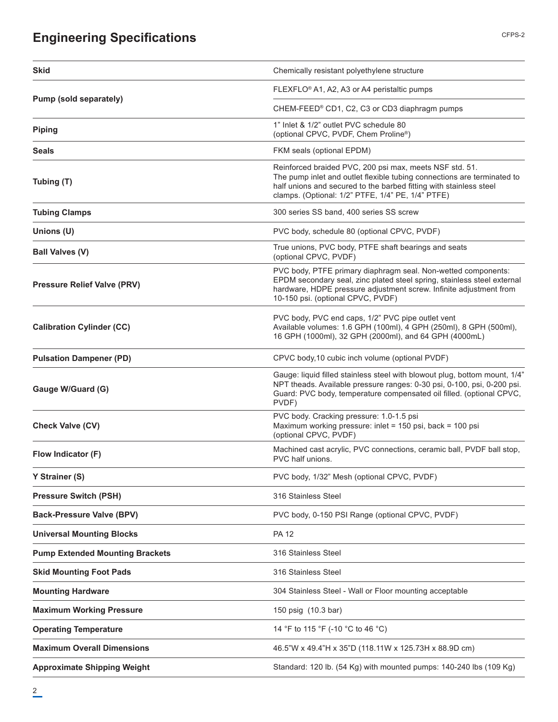# **Engineering Specifications**

| <b>Skid</b>                            | Chemically resistant polyethylene structure                                                                                                                                                                                                                   |
|----------------------------------------|---------------------------------------------------------------------------------------------------------------------------------------------------------------------------------------------------------------------------------------------------------------|
|                                        | FLEXFLO <sup>®</sup> A1, A2, A3 or A4 peristaltic pumps                                                                                                                                                                                                       |
| Pump (sold separately)                 | CHEM-FEED® CD1, C2, C3 or CD3 diaphragm pumps                                                                                                                                                                                                                 |
| <b>Piping</b>                          | 1" Inlet & 1/2" outlet PVC schedule 80<br>(optional CPVC, PVDF, Chem Proline®)                                                                                                                                                                                |
| <b>Seals</b>                           | FKM seals (optional EPDM)                                                                                                                                                                                                                                     |
| Tubing (T)                             | Reinforced braided PVC, 200 psi max, meets NSF std. 51.<br>The pump inlet and outlet flexible tubing connections are terminated to<br>half unions and secured to the barbed fitting with stainless steel<br>clamps. (Optional: 1/2" PTFE, 1/4" PE, 1/4" PTFE) |
| <b>Tubing Clamps</b>                   | 300 series SS band, 400 series SS screw                                                                                                                                                                                                                       |
| Unions (U)                             | PVC body, schedule 80 (optional CPVC, PVDF)                                                                                                                                                                                                                   |
| <b>Ball Valves (V)</b>                 | True unions, PVC body, PTFE shaft bearings and seats<br>(optional CPVC, PVDF)                                                                                                                                                                                 |
| <b>Pressure Relief Valve (PRV)</b>     | PVC body, PTFE primary diaphragm seal. Non-wetted components:<br>EPDM secondary seal, zinc plated steel spring, stainless steel external<br>hardware, HDPE pressure adjustment screw. Infinite adjustment from<br>10-150 psi. (optional CPVC, PVDF)           |
| <b>Calibration Cylinder (CC)</b>       | PVC body, PVC end caps, 1/2" PVC pipe outlet vent<br>Available volumes: 1.6 GPH (100ml), 4 GPH (250ml), 8 GPH (500ml),<br>16 GPH (1000ml), 32 GPH (2000ml), and 64 GPH (4000mL)                                                                               |
| <b>Pulsation Dampener (PD)</b>         | CPVC body, 10 cubic inch volume (optional PVDF)                                                                                                                                                                                                               |
| Gauge W/Guard (G)                      | Gauge: liquid filled stainless steel with blowout plug, bottom mount, 1/4"<br>NPT theads. Available pressure ranges: 0-30 psi, 0-100, psi, 0-200 psi.<br>Guard: PVC body, temperature compensated oil filled. (optional CPVC,<br>PVDF)                        |
| <b>Check Valve (CV)</b>                | PVC body. Cracking pressure: 1.0-1.5 psi<br>Maximum working pressure: inlet = 150 psi, back = 100 psi<br>(optional CPVC, PVDF)                                                                                                                                |
| Flow Indicator (F)                     | Machined cast acrylic, PVC connections, ceramic ball, PVDF ball stop,<br>PVC half unions.                                                                                                                                                                     |
| Y Strainer (S)                         | PVC body, 1/32" Mesh (optional CPVC, PVDF)                                                                                                                                                                                                                    |
| <b>Pressure Switch (PSH)</b>           | 316 Stainless Steel                                                                                                                                                                                                                                           |
| <b>Back-Pressure Valve (BPV)</b>       | PVC body, 0-150 PSI Range (optional CPVC, PVDF)                                                                                                                                                                                                               |
| <b>Universal Mounting Blocks</b>       | <b>PA 12</b>                                                                                                                                                                                                                                                  |
| <b>Pump Extended Mounting Brackets</b> | 316 Stainless Steel                                                                                                                                                                                                                                           |
| <b>Skid Mounting Foot Pads</b>         | 316 Stainless Steel                                                                                                                                                                                                                                           |
| <b>Mounting Hardware</b>               | 304 Stainless Steel - Wall or Floor mounting acceptable                                                                                                                                                                                                       |
| <b>Maximum Working Pressure</b>        | 150 psig (10.3 bar)                                                                                                                                                                                                                                           |
| <b>Operating Temperature</b>           | 14 °F to 115 °F (-10 °C to 46 °C)                                                                                                                                                                                                                             |
| <b>Maximum Overall Dimensions</b>      | 46.5"W x 49.4"H x 35"D (118.11W x 125.73H x 88.9D cm)                                                                                                                                                                                                         |
| <b>Approximate Shipping Weight</b>     | Standard: 120 lb. (54 Kg) with mounted pumps: 140-240 lbs (109 Kg)                                                                                                                                                                                            |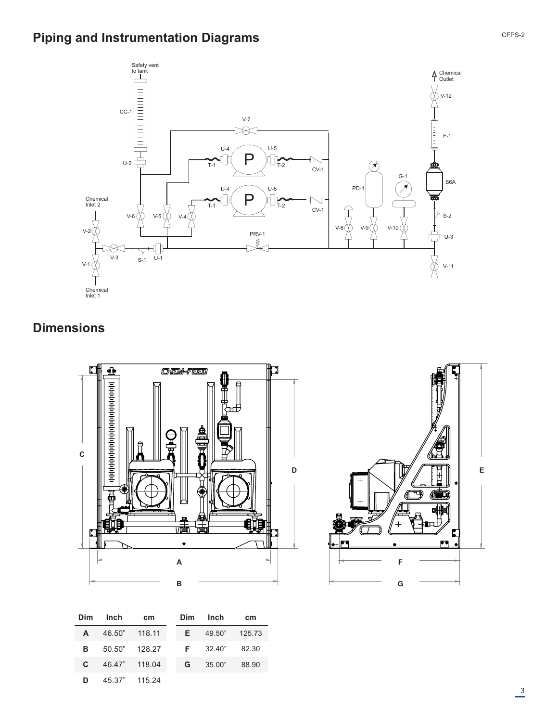# **Piping and Instrumentation Diagrams**



# **Dimensions**



| <b>Dim</b>   | <b>Inch</b>   | cm            | Dim | Inch          | cm    |
|--------------|---------------|---------------|-----|---------------|-------|
| A            | 46.50" 118.11 |               | Æ,  | 49.50" 125.73 |       |
| в            |               | 50.50" 128.27 |     | $F = 32.40"$  | 82.30 |
| $\mathbf{c}$ | 46.47" 118.04 |               | G.  | 35.00"        | 88.90 |
| D            |               | 45.37" 115.24 |     |               |       |